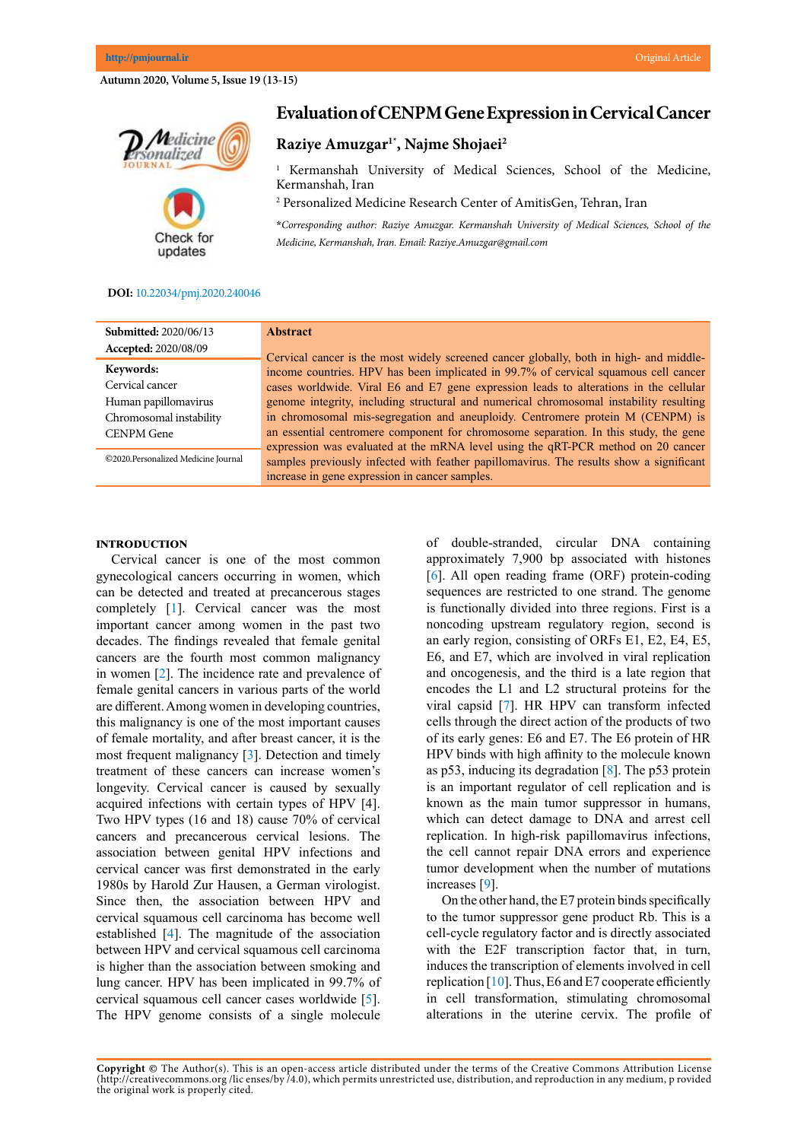## **Autumn 2020, Volume 5, Issue 19 (13-15)**



# **Evaluation of CENPM Gene Expression in Cervical Cancer**

# **Raziye Amuzgar1\*, Najme Shojaei2**

1 Kermanshah University of Medical Sciences, School of the Medicine, Kermanshah, Iran

2 Personalized Medicine Research Center of AmitisGen, Tehran, Iran

**\****Corresponding author: Raziye Amuzgar. Kermanshah University of Medical Sciences, School of the Medicine, Kermanshah, Iran. Email: Raziye.Amuzgar@gmail.com*

#### **DOI:** [10.22034/pmj.2020.240046](http://10.22034/pmj.2020.240046)

| <b>Abstract</b>                                                                                                                                                               |
|-------------------------------------------------------------------------------------------------------------------------------------------------------------------------------|
| Cervical cancer is the most widely screened cancer globally, both in high- and middle-<br>income countries. HPV has been implicated in 99.7% of cervical squamous cell cancer |
| cases worldwide. Viral E6 and E7 gene expression leads to alterations in the cellular                                                                                         |
| genome integrity, including structural and numerical chromosomal instability resulting                                                                                        |
| in chromosomal mis-segregation and aneuploidy. Centromere protein M (CENPM) is                                                                                                |
| an essential centromere component for chromosome separation. In this study, the gene                                                                                          |
| expression was evaluated at the mRNA level using the qRT-PCR method on 20 cancer                                                                                              |
| samples previously infected with feather papillomavirus. The results show a significant                                                                                       |
| increase in gene expression in cancer samples.                                                                                                                                |
|                                                                                                                                                                               |

#### **Introduction**

Cervical cancer is one of the most common gynecological cancers occurring in women, which can be detected and treated at precancerous stages completely [[1\]](#page-1-0). Cervical cancer was the most important cancer among women in the past two decades. The findings revealed that female genital cancers are the fourth most common malignancy in women [\[2](#page-1-0)]. The incidence rate and prevalence of female genital cancers in various parts of the world are different. Among women in developing countries, this malignancy is one of the most important causes of female mortality, and after breast cancer, it is the most frequent malignancy [\[3](#page-1-0)]. Detection and timely treatment of these cancers can increase women's longevity. Cervical cancer is caused by sexually acquired infections with certain types of HPV [4]. Two HPV types (16 and 18) cause 70% of cervical cancers and precancerous cervical lesions. The association between genital HPV infections and cervical cancer was first demonstrated in the early 1980s by Harold Zur Hausen, a German virologist. Since then, the association between HPV and cervical squamous cell carcinoma has become well established [\[4](#page-1-0)]. The magnitude of the association between HPV and cervical squamous cell carcinoma is higher than the association between smoking and lung cancer. HPV has been implicated in 99.7% of cervical squamous cell cancer cases worldwide [[5\]](#page-1-0). The HPV genome consists of a single molecule

of double-stranded, circular DNA containing approximately 7,900 bp associated with histones [[6\]](#page-1-0). All open reading frame (ORF) protein-coding sequences are restricted to one strand. The genome is functionally divided into three regions. First is a noncoding upstream regulatory region, second is an early region, consisting of ORFs E1, E2, E4, E5, E6, and E7, which are involved in viral replication and oncogenesis, and the third is a late region that encodes the L1 and L2 structural proteins for the viral capsid [\[7](#page-2-0)]. HR HPV can transform infected cells through the direct action of the products of two of its early genes: E6 and E7. The E6 protein of HR HPV binds with high affinity to the molecule known as p53, inducing its degradation  $[8]$  $[8]$ . The p53 protein is an important regulator of cell replication and is known as the main tumor suppressor in humans, which can detect damage to DNA and arrest cell replication. In high-risk papillomavirus infections, the cell cannot repair DNA errors and experience tumor development when the number of mutations increases [\[9](#page-2-0)].

On the other hand, the E7 protein binds specifically to the tumor suppressor gene product Rb. This is a cell-cycle regulatory factor and is directly associated with the E2F transcription factor that, in turn, induces the transcription of elements involved in cell replication  $[10]$  $[10]$ . Thus, E6 and E7 cooperate efficiently in cell transformation, stimulating chromosomal alterations in the uterine cervix. The profile of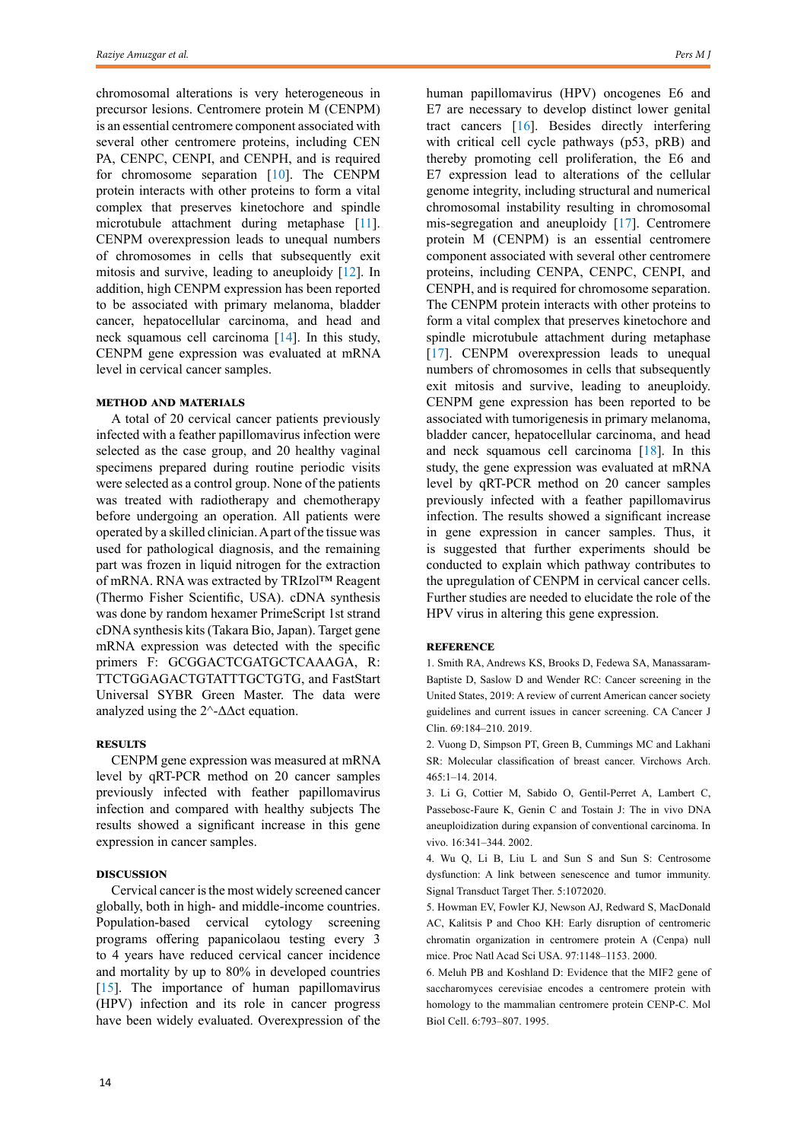<span id="page-1-0"></span>chromosomal alterations is very heterogeneous in precursor lesions. Centromere protein M (CENPM) is an essential centromere component associated with several other centromere proteins, including CEN PA, CENPC, CENPI, and CENPH, and is required for chromosome separation [\[10](#page-2-0)]. The CENPM protein interacts with other proteins to form a vital complex that preserves kinetochore and spindle microtubule attachment during metaphase [\[11\]](#page-2-0). CENPM overexpression leads to unequal numbers of chromosomes in cells that subsequently exit mitosis and survive, leading to aneuploidy [[12\]](#page-2-0). In addition, high CENPM expression has been reported to be associated with primary melanoma, bladder cancer, hepatocellular carcinoma, and head and neck squamous cell carcinoma [[14\]](#page-2-0). In this study, CENPM gene expression was evaluated at mRNA level in cervical cancer samples.

#### **Method and materials**

A total of 20 [cervical cancer](https://www.sciencedirect.com/topics/medicine-and-dentistry/cervical-cancer) patients previously infected with a feather papillomavirus infection were selected as the case group, and 20 healthy vaginal specimens prepared during routine periodic visits were selected as a control group. None of the patients was treated with radiotherapy and chemotherapy before undergoing an operation. All patients were operated by a skilled clinician. A part of the tissue was used for pathological diagnosis, and the remaining part was frozen in [liquid nitrogen](https://www.sciencedirect.com/topics/medicine-and-dentistry/liquid-nitrogen) for the extraction of [mRNA](https://www.sciencedirect.com/topics/medicine-and-dentistry/messenger-rna). RNA was extracted by TRIzol™ Reagent (Thermo Fisher Scientific, USA). cDNA synthesis was done by random hexamer PrimeScript 1st strand cDNA synthesis kits (Takara Bio, Japan). Target gene mRNA expression was detected with the specific primers F: GCGGACTCGATGCTCAAAGA, R: TTCTGGAGACTGTATTTGCTGTG, and FastStart Universal SYBR Green Master. The data were analyzed using the  $2^{\wedge}$ - $\Delta \Delta$ ct equation.

#### **Results**

CENPM gene expression was measured at mRNA level by qRT-PCR method on 20 cancer samples previously infected with feather papillomavirus infection and compared with healthy subjects The results showed a significant increase in this gene expression in cancer samples.

### **Discussion**

Cervical cancer is the most widely screened cancer globally, both in high- and middle-income countries. Population-based cervical cytology screening programs offering papanicolaou testing every 3 to 4 years have reduced cervical cancer incidence and mortality by up to 80% in developed countries [\[15](#page-2-0)]. The importance of human papillomavirus (HPV) infection and its role in cancer progress have been widely evaluated. Overexpression of the human papillomavirus (HPV) oncogenes E6 and E7 are necessary to develop distinct lower genital tract cancers [\[16](#page-2-0)]. Besides directly interfering with critical cell cycle pathways (p53, pRB) and thereby promoting cell proliferation, the E6 and E7 expression lead to alterations of the cellular genome integrity, including structural and numerical chromosomal instability resulting in chromosomal mis-segregation and aneuploidy [\[17](#page-2-0)]. Centromere protein M (CENPM) is an essential centromere component associated with several other centromere proteins, including CENPA, CENPC, CENPI, and CENPH, and is required for chromosome separation. The CENPM protein interacts with other proteins to form a vital complex that preserves kinetochore and spindle microtubule attachment during metaphase [[17\]](#page-2-0). CENPM overexpression leads to unequal numbers of chromosomes in cells that subsequently exit mitosis and survive, leading to aneuploidy. CENPM gene expression has been reported to be associated with tumorigenesis in primary melanoma, bladder cancer, hepatocellular carcinoma, and head and neck squamous cell carcinoma [[18\]](#page-2-0). In this study, the gene expression was evaluated at mRNA level by qRT-PCR method on 20 cancer samples previously infected with a feather papillomavirus infection. The results showed a significant increase in gene expression in cancer samples. Thus, it is suggested that further experiments should be conducted to explain which pathway contributes to the upregulation of CENPM in cervical cancer cells. Further studies are needed to elucidate the role of the HPV virus in altering this gene expression.

### **Reference**

1. Smith RA, Andrews KS, Brooks D, Fedewa SA, Manassaram-Baptiste D, Saslow D and Wender RC: Cancer screening in the United States, 2019: A review of current American cancer society guidelines and current issues in cancer screening. CA Cancer J Clin. 69:184–210. 2019.

2. Vuong D, Simpson PT, Green B, Cummings MC and Lakhani SR: Molecular classification of breast cancer. Virchows Arch. 465:1–14. 2014.

3. Li G, Cottier M, Sabido O, Gentil-Perret A, Lambert C, Passebosc-Faure K, Genin C and Tostain J: The in vivo DNA aneuploidization during expansion of conventional carcinoma. In vivo. 16:341–344. 2002.

4. Wu Q, Li B, Liu L and Sun S and Sun S: Centrosome dysfunction: A link between senescence and tumor immunity. Signal Transduct Target Ther. 5:1072020.

5. Howman EV, Fowler KJ, Newson AJ, Redward S, MacDonald AC, Kalitsis P and Choo KH: Early disruption of centromeric chromatin organization in centromere protein A (Cenpa) null mice. Proc Natl Acad Sci USA. 97:1148–1153. 2000.

6. Meluh PB and Koshland D: Evidence that the MIF2 gene of saccharomyces cerevisiae encodes a centromere protein with homology to the mammalian centromere protein CENP-C. Mol Biol Cell. 6:793–807. 1995.